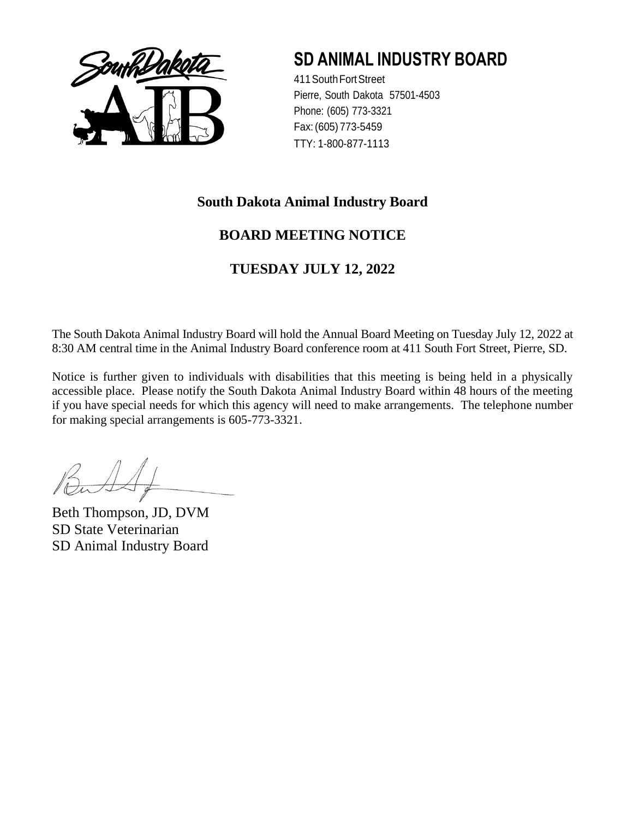

411SouthFortStreet Pierre, South Dakota 57501-4503 Phone: (605) 773-3321 Fax:(605) 773-5459 TTY: 1-800-877-1113

### **South Dakota Animal Industry Board**

### **BOARD MEETING NOTICE**

### **TUESDAY JULY 12, 2022**

The South Dakota Animal Industry Board will hold the Annual Board Meeting on Tuesday July 12, 2022 at 8:30 AM central time in the Animal Industry Board conference room at 411 South Fort Street, Pierre, SD.

Notice is further given to individuals with disabilities that this meeting is being held in a physically accessible place. Please notify the South Dakota Animal Industry Board within 48 hours of the meeting if you have special needs for which this agency will need to make arrangements. The telephone number for making special arrangements is 605-773-3321.

Beth Thompson, JD, DVM SD State Veterinarian SD Animal Industry Board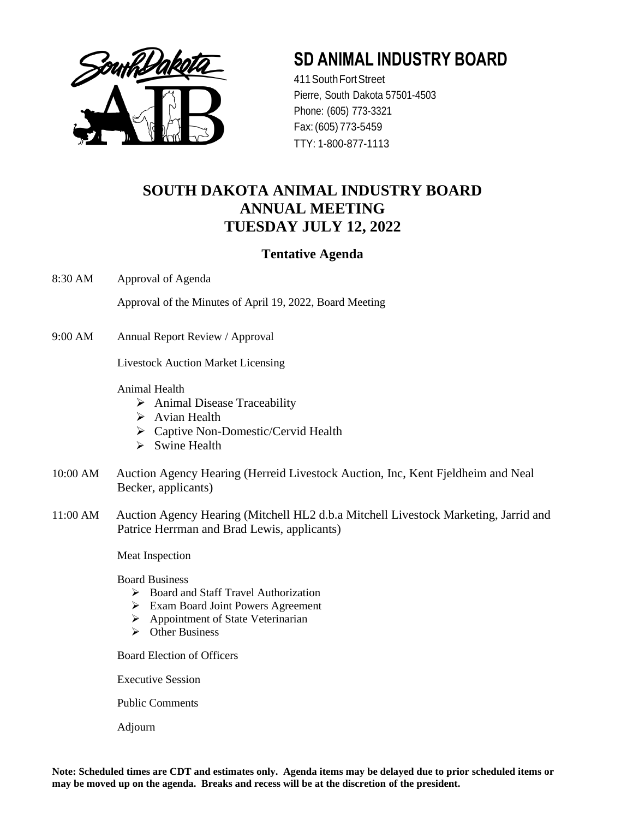

411SouthFortStreet Pierre, South Dakota 57501-4503 Phone: (605) 773-3321 Fax:(605) 773-5459 TTY: 1-800-877-1113

### **SOUTH DAKOTA ANIMAL INDUSTRY BOARD ANNUAL MEETING TUESDAY JULY 12, 2022**

### **Tentative Agenda**

8:30 AM Approval of Agenda

Approval of the Minutes of April 19, 2022, Board Meeting

9:00 AM Annual Report Review / Approval

Livestock Auction Market Licensing

Animal Health

- ➢ Animal Disease Traceability
- ➢ Avian Health
- ➢ Captive Non-Domestic/Cervid Health
- ➢ Swine Health
- 10:00 AM Auction Agency Hearing (Herreid Livestock Auction, Inc, Kent Fjeldheim and Neal Becker, applicants)
- 11:00 AM Auction Agency Hearing (Mitchell HL2 d.b.a Mitchell Livestock Marketing, Jarrid and Patrice Herrman and Brad Lewis, applicants)

Meat Inspection

Board Business

- ➢ Board and Staff Travel Authorization
- ➢ Exam Board Joint Powers Agreement
- ➢ Appointment of State Veterinarian
- ➢ Other Business

Board Election of Officers

Executive Session

Public Comments

Adjourn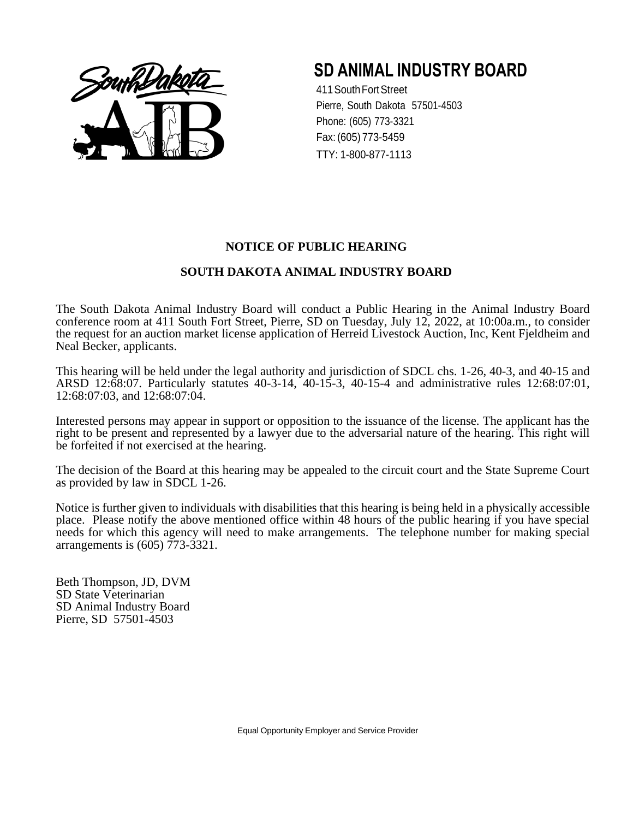

411SouthFortStreet Pierre, South Dakota 57501-4503 Phone: (605) 773-3321 Fax:(605) 773-5459 TTY: 1-800-877-1113

#### **NOTICE OF PUBLIC HEARING**

#### **SOUTH DAKOTA ANIMAL INDUSTRY BOARD**

The South Dakota Animal Industry Board will conduct a Public Hearing in the Animal Industry Board conference room at 411 South Fort Street, Pierre, SD on Tuesday, July 12, 2022, at 10:00a.m., to consider the request for an auction market license application of Herreid Livestock Auction, Inc, Kent Fjeldheim and Neal Becker, applicants.

This hearing will be held under the legal authority and jurisdiction of SDCL chs. 1-26, 40-3, and 40-15 and ARSD 12:68:07. Particularly statutes 40-3-14, 40-15-3, 40-15-4 and administrative rules 12:68:07:01, 12:68:07:03, and 12:68:07:04.

Interested persons may appear in support or opposition to the issuance of the license. The applicant has the right to be present and represented by a lawyer due to the adversarial nature of the hearing. This right will be forfeited if not exercised at the hearing.

The decision of the Board at this hearing may be appealed to the circuit court and the State Supreme Court as provided by law in SDCL 1-26.

Notice is further given to individuals with disabilities that this hearing is being held in a physically accessible place. Please notify the above mentioned office within 48 hours of the public hearing if you have special needs for which this agency will need to make arrangements. The telephone number for making special arrangements is (605) 773-3321.

Beth Thompson, JD, DVM SD State Veterinarian SD Animal Industry Board Pierre, SD 57501-4503

Equal Opportunity Employer and Service Provider